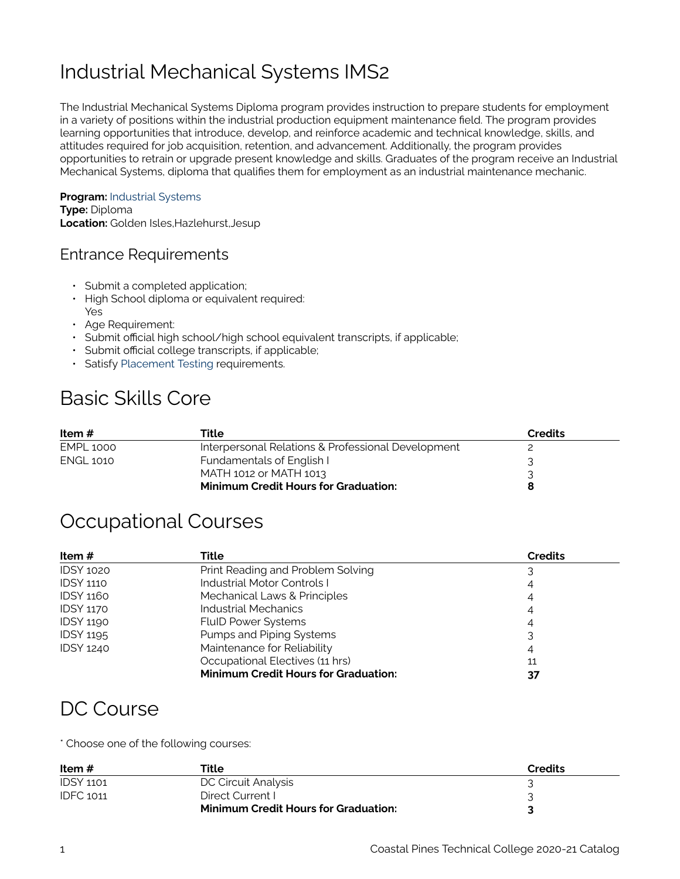# Industrial Mechanical Systems IMS2

The Industrial Mechanical Systems Diploma program provides instruction to prepare students for employment in a variety of positions within the industrial production equipment maintenance field. The program provides learning opportunities that introduce, develop, and reinforce academic and technical knowledge, skills, and attitudes required for job acquisition, retention, and advancement. Additionally, the program provides opportunities to retrain or upgrade present knowledge and skills. Graduates of the program receive an Industrial Mechanical Systems, diploma that qualifies them for employment as an industrial maintenance mechanic.

#### **Program:** [Industrial Systems](https://catalog.coastalpines.edu/industrial-systems)

**Type:** Diploma **Location:** Golden Isles, Hazlehurst, Jesup

#### Entrance Requirements

- Submit a completed application;
- High School diploma or equivalent required: Yes
- Age Requirement:
- Submit official high school/high school equivalent transcripts, if applicable;
- Submit official college transcripts, if applicable;
- Satisfy [Placement Testing](https://catalog.coastalpines.edu/sites/default/files/Placement%20Testing.docx) requirements.

## Basic Skills Core

| Item #           | Title                                              | <b>Credits</b> |  |
|------------------|----------------------------------------------------|----------------|--|
| <b>EMPL 1000</b> | Interpersonal Relations & Professional Development |                |  |
| <b>ENGL 1010</b> | Fundamentals of English I                          |                |  |
|                  | MATH 1012 or MATH 1013                             |                |  |
|                  | <b>Minimum Credit Hours for Graduation:</b>        |                |  |

#### Occupational Courses

| Item $#$         | Title                                       | <b>Credits</b> |
|------------------|---------------------------------------------|----------------|
| <b>IDSY 1020</b> | Print Reading and Problem Solving           |                |
| <b>IDSY 1110</b> | Industrial Motor Controls I                 | 4              |
| <b>IDSY 1160</b> | Mechanical Laws & Principles                | 4              |
| <b>IDSY 1170</b> | Industrial Mechanics                        | 4              |
| <b>IDSY 1190</b> | <b>FluID Power Systems</b>                  | 4              |
| <b>IDSY 1195</b> | Pumps and Piping Systems                    |                |
| <b>IDSY 1240</b> | Maintenance for Reliability                 | 4              |
|                  | Occupational Electives (11 hrs)             | 11             |
|                  | <b>Minimum Credit Hours for Graduation:</b> |                |

### DC Course

\* Choose one of the following courses:

| Item $#$         | Title                                       | Credits |
|------------------|---------------------------------------------|---------|
| <b>IDSY 1101</b> | DC Circuit Analysis                         |         |
| <b>IDFC 1011</b> | Direct Current I                            |         |
|                  | <b>Minimum Credit Hours for Graduation:</b> |         |